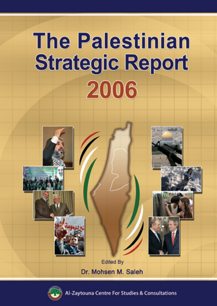



Zaytouna Centre For Studies & Consultations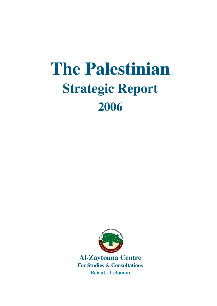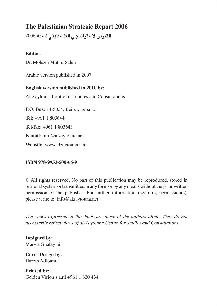**التقرير اال�سرتاتيجي الفل�سطيني ل�سنة** 2006

#### **Editor:**

Dr. Mohsen Moh'd Saleh

Arabic version published in 2007

**English version published in 2010 by:** Al-Zaytouna Centre for Studies and Consultations **P.O. Box**: 14-5034, Beirut, Lebanon **Tel**: +961 1 803644 **Tel-fax**: +961 1 803643 **E**-**mail**: info@alzaytouna.net **Website**: www.alzaytouna.net

#### **ISBN 978-9953-500-66-9**

© All rights reserved. No part of this publication may be reproduced, stored in retrieval system or transmitted in any form or by any means without the prior written permission of the publisher. For further information regarding permission(s), please write to: info@alzaytouna.net

*The views expressed in this book are those of the authors alone. They do not necessarily reflect views of al-Zaytouna Centre for Studies and Consultations.*

**Designed by:** Marwa Ghalayini

**Cover Design by:** Hareth Adlouni

**Printed by:** Golden Vision s.a.r.l +961 1 820 434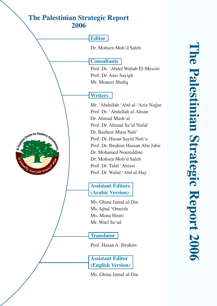#### **Editor**

Dr. Mohsen Moh'd Saleh

#### **Consultants**

Prof. Dr. 'Abdel Wahab El-Messiri Prof. Dr. Anis Sayigh Mr. Moneer Shafiq

## **Writers**

Mr. 'Abdullah 'Abd al-'Aziz Najjar Prof. Dr. 'Abdullah al-Ahsan Dr. Ahmad Mash'al Prof. Dr. Ahmad Sa'id Nufal Dr. Basheer Musa Nafi' Prof. Dr. Hasan Sayid Nafi'a Prof. Dr. Ibrahim Hassan Abu Jabir Dr. Mohamed Noureddine Dr. Mohsen Moh'd Saleh Prof. Dr. Talal 'Atrissi Prof. Dr. Walid 'Abd al-Hay

#### **Assistant Editors (Arabic Version)**

Ms. Ghina Jamal al-Din Ms. Iqbal 'Omeish Ms. Mona Houri Mr. Wael Sa'ad

## **Translator**

Prof. Hasan A. Ibrahim

**Assistant Editor (English Version)** 

Ms. Ghina Jamal al-Din

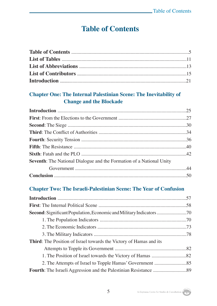## **Table of Contents**

#### **Chapter One: The Internal Palestinian Scene: The Inevitability of Change and the Blockade**

#### **Chapter Two: The Israeli-Palestinian Scene: The Year of Confusion**

| <b>Third:</b> The Position of Israel towards the Victory of Hamas and its |  |
|---------------------------------------------------------------------------|--|
|                                                                           |  |
|                                                                           |  |
|                                                                           |  |
|                                                                           |  |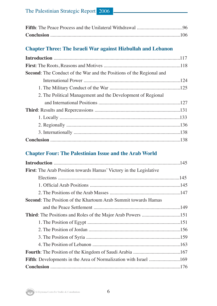#### **Chapter Three: The Israeli War against Hizbullah and Lebanon**

| <b>Second:</b> The Conduct of the War and the Positions of the Regional and |  |
|-----------------------------------------------------------------------------|--|
|                                                                             |  |
|                                                                             |  |
| 2. The Political Management and the Development of Regional                 |  |
|                                                                             |  |
|                                                                             |  |
|                                                                             |  |
|                                                                             |  |
|                                                                             |  |
|                                                                             |  |

#### **Chapter Four: The Palestinian Issue and the Arab World**

| <b>First:</b> The Arab Position towards Hamas' Victory in the Legislative |
|---------------------------------------------------------------------------|
|                                                                           |
|                                                                           |
|                                                                           |
| <b>Second:</b> The Position of the Khartoum Arab Summit towards Hamas     |
|                                                                           |
|                                                                           |
|                                                                           |
|                                                                           |
|                                                                           |
|                                                                           |
|                                                                           |
|                                                                           |
|                                                                           |

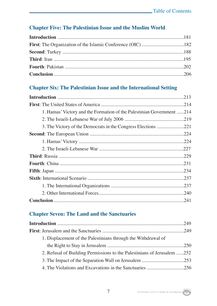#### **Chapter Five: The Palestinian Issue and the Muslim World**

#### **Chapter Six: The Palestinian Issue and the International Setting**

|                                                                       | .213 |
|-----------------------------------------------------------------------|------|
|                                                                       |      |
| 1. Hamas' Victory and the Formation of the Palestinian Government 214 |      |
|                                                                       |      |
|                                                                       |      |
|                                                                       |      |
|                                                                       |      |
|                                                                       |      |
|                                                                       |      |
|                                                                       | .231 |
|                                                                       | .234 |
|                                                                       |      |
|                                                                       |      |
|                                                                       |      |
|                                                                       |      |

#### **Chapter Seven: The Land and the Sanctuaries**

| 1. Displacement of the Palestinians through the Withdrawal of           |  |
|-------------------------------------------------------------------------|--|
|                                                                         |  |
| 2. Refusal of Building Permissions to the Palestinians of Jerusalem 252 |  |
|                                                                         |  |
|                                                                         |  |
|                                                                         |  |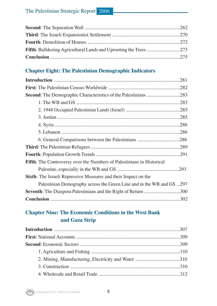#### **Chapter Eight: The Palestinian Demographic Indicators**

|                                                                              | .281 |
|------------------------------------------------------------------------------|------|
|                                                                              | .282 |
|                                                                              |      |
|                                                                              |      |
|                                                                              |      |
|                                                                              |      |
|                                                                              | .286 |
|                                                                              |      |
|                                                                              |      |
|                                                                              |      |
|                                                                              |      |
| <b>Fifth:</b> The Controversy over the Numbers of Palestinians in Historical |      |
|                                                                              |      |
| <b>Sixth:</b> The Israeli Repressive Measures and their Impact on the        |      |
| Palestinian Demography across the Green Line and in the WB and GS 297        |      |
| Seventh: The Diaspora Palestinians and the Right of Return 300               |      |
|                                                                              |      |

#### **Chapter Nine: The Economic Conditions in the West Bank and Gaza Strip**

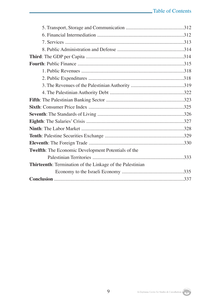| Twelfth: The Economic Development Potentials of the              |
|------------------------------------------------------------------|
|                                                                  |
| <b>Thirteenth:</b> Termination of the Linkage of the Palestinian |
|                                                                  |
|                                                                  |

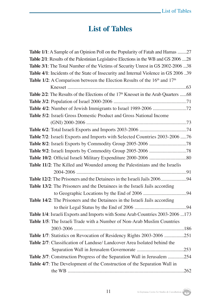## **List of Tables**

| <b>Table 1/1</b> : A Sample of an Opinion Poll on the Popularity of Fatah and Hamas 27            |
|---------------------------------------------------------------------------------------------------|
| Table 2/1: Results of the Palestinian Legislative Elections in the WB and GS 2006 28              |
| Table 3/1: The Total Number of the Victims of Security Unrest in GS 2002-2006 38                  |
| Table 4/1: Incidents of the State of Insecurity and Internal Violence in GS 2006 39               |
| Table 1/2: A Comparison between the Election Results of the 16 <sup>th</sup> and 17 <sup>th</sup> |
|                                                                                                   |
| Table 2/2: The Results of the Elections of the 17 <sup>th</sup> Knesset in the Arab Quarters 68   |
|                                                                                                   |
|                                                                                                   |
| Table 5/2: Israeli Gross Domestic Product and Gross National Income                               |
|                                                                                                   |
|                                                                                                   |
| Table 7/2: Israeli Exports and Imports with Selected Countries 2003-2006  76                      |
|                                                                                                   |
|                                                                                                   |
|                                                                                                   |
| Table 11/2: The Killed and Wounded among the Palestinians and the Israelis                        |
|                                                                                                   |
|                                                                                                   |
| Table 13/2: The Prisoners and the Detainees in the Israeli Jails according                        |
|                                                                                                   |
| Table 14/2: The Prisoners and the Detainees in the Israeli Jails according                        |
|                                                                                                   |
| Table 1/4: Israeli Exports and Imports with Some Arab Countries 2003-2006 173                     |
| Table 1/5: The Israeli Trade with a Number of Non-Arab Muslim Countries                           |
|                                                                                                   |
| Table 1/7: Statistics on Revocation of Residency Rights 2003-2006 251                             |
| Table 2/7: Classification of Landuse/ Landcover Area Isolated behind the                          |
|                                                                                                   |
| Table 3/7: Construction Progress of the Separation Wall in Jerusalem 254                          |
| Table 4/7: The Development of the Construction of the Separation Wall in                          |
|                                                                                                   |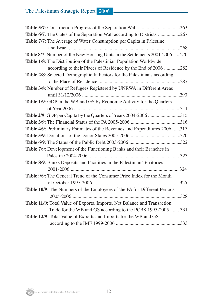| Table 6/7: The Gates of the Separation Wall according to Districts 267        |      |
|-------------------------------------------------------------------------------|------|
| Table 7/7: The Average of Water Consumption per Capita in Palestine           |      |
|                                                                               |      |
| Table 8/7: Number of the New Housing Units in the Settlements 2001-2006 270   |      |
| Table 1/8: The Distribution of the Palestinian Population Worldwide           |      |
| according to their Places of Residence by the End of 2006 282                 |      |
| Table 2/8: Selected Demographic Indicators for the Palestinians according     |      |
|                                                                               |      |
| Table 3/8: Number of Refugees Registered by UNRWA in Different Areas          |      |
|                                                                               | .290 |
| Table 1/9: GDP in the WB and GS by Economic Activity for the Quarters         |      |
|                                                                               |      |
| Table 2/9: GDP per Capita by the Quarters of Years 2004-2006 315              |      |
|                                                                               |      |
| Table 4/9: Preliminary Estimates of the Revenues and Expenditures 2006 317    |      |
|                                                                               |      |
|                                                                               |      |
| Table 7/9: Development of the Functioning Banks and their Branches in         |      |
|                                                                               |      |
| Table 8/9: Banks Deposits and Facilities in the Palestinian Territories       |      |
|                                                                               |      |
| <b>Table 9/9:</b> The General Trend of the Consumer Price Index for the Month |      |
|                                                                               |      |
| Table 10/9: The Numbers of the Employees of the PA for Different Periods      |      |
|                                                                               | .328 |
| Table 11/9: Total Value of Exports, Imports, Net Balance and Transaction      |      |
| Trade for the WB and GS according to the PCBS 1995-2005 331                   |      |
| Table 12/9: Total Value of Exports and Imports for the WB and GS              |      |
|                                                                               |      |

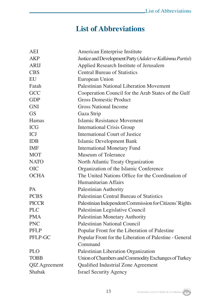## **List of Abbreviations**

| AEI           | American Enterprise Institute                              |
|---------------|------------------------------------------------------------|
| <b>AKP</b>    | Justice and Development Party (Adalet ve Kalkinma Partisi) |
| <b>ARIJ</b>   | Applied Research Institute of Jerusalem                    |
| <b>CBS</b>    | <b>Central Bureau of Statistics</b>                        |
| EU            | European Union                                             |
| Fatah         | <b>Palestinian National Liberation Movement</b>            |
| GCC           | Cooperation Council for the Arab States of the Gulf        |
| <b>GDP</b>    | <b>Gross Domestic Product</b>                              |
| <b>GNI</b>    | <b>Gross National Income</b>                               |
| <b>GS</b>     | Gaza Strip                                                 |
| Hamas         | <b>Islamic Resistance Movement</b>                         |
| <b>ICG</b>    | <b>International Crisis Group</b>                          |
| <b>ICJ</b>    | International Court of Justice                             |
| <b>IDB</b>    | <b>Islamic Development Bank</b>                            |
| <b>IMF</b>    | <b>International Monetary Fund</b>                         |
| <b>MOT</b>    | Museum of Tolerance                                        |
| <b>NATO</b>   | North Atlantic Treaty Organization                         |
| <b>OIC</b>    | Organization of the Islamic Conference                     |
| <b>OCHA</b>   | The United Nations Office for the Coordination of          |
|               | Humanitarian Affairs                                       |
| <b>PA</b>     | <b>Palestinian Authority</b>                               |
| <b>PCBS</b>   | Palestinian Central Bureau of Statistics                   |
| <b>PICCR</b>  | Palestinian Independent Commission for Citizens' Rights    |
| <b>PLC</b>    | Palestinian Legislative Council                            |
| <b>PMA</b>    | Palestinian Monetary Authority                             |
| <b>PNC</b>    | <b>Palestinian National Council</b>                        |
| <b>PFLP</b>   | Popular Front for the Liberation of Palestine              |
| PFLP-GC       | Popular Front for the Liberation of Palestine - General    |
|               | Command                                                    |
| <b>PLO</b>    | Palestinian Liberation Organization                        |
| <b>TOBB</b>   | Union of Chambers and Commodity Exchanges of Turkey        |
| QIZ Agreement | Qualified Industrial Zone Agreement                        |
| Shabak        | <b>Israel Security Agency</b>                              |
|               |                                                            |

13 Al-Zaytouna Centre for Studies & Consultations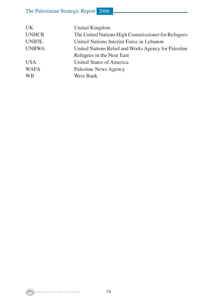| <b>UK</b>     | United Kingdom                                       |
|---------------|------------------------------------------------------|
| <b>UNHCR</b>  | The United Nations High Commissioner for Refugees    |
| <b>UNIFIL</b> | United Nations Interim Force in Lebanon              |
| <b>UNRWA</b>  | United Nations Relief and Works Agency for Palestine |
|               | Refugees in the Near East                            |
| <b>USA</b>    | United States of America                             |
| <b>WAFA</b>   | Palestine News Agency                                |
| <b>WB</b>     | West Bank                                            |
|               |                                                      |

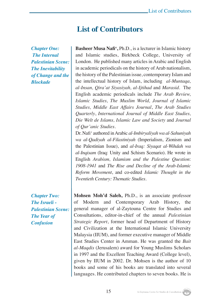## **List of Contributors**

*Chapter One: The Internal Palestinian Scene: The Inevitability of Change and the Blockade*

*Chapter Two: The Israeli - Palestinian Scene: The Year of Confusion*

**Basheer Musa Nafi',** Ph.D., is a lecturer in Islamic history and Islamic studies, Birkbeck College, University of London. He published many articles in Arabic and English in academic periodicals on the history of Arab nationalism, the history of the Palestinian issue, contemporary Islam and the intellectual history of Islam, including *al-Muntaqa, al-Insan, Qira'at Siyasiyah, al-Ijtihad* and *Marasid*. The English academic periodicals include *The Arab Review, Islamic Studies, The Muslim World, Journal of Islamic Studies, Middle East Affairs Journal*, *The Arab Studies Quarterly*, *International Journal of Middle East Studies, Die Welt de Islams, Islamic Law and Society* and *Journal of Qur'anic Studies*.

Dr. Nafi' authored in Arabic *al-Imbiryaliyah wa al-Sahuniyah wa al-Qadiyah al-Filastiniyah* (Imperialism, Zionism and the Palestinian Issue), and *al-Iraq: Siyaqat al-Wihdah wa al-Inqisam* (Iraq: Unity and Schism Scenario). He wrote in English *Arabism, Islamism and the Palestine Question*: *1908-1941* and *The Rise and Decline of the Arab-Islamic Reform Movement*, and co-edited *Islamic Thought in the Twentieth Century: Thematic Studies.*

**Mohsen Moh'd Saleh,** Ph.D., is an associate professor of Modern and Contemporary Arab History, the general manager of al-Zaytouna Centre for Studies and Consultations, editor-in-chief of the annual *Palestinian Strategic Report*, former head of Department of History and Civilization at the International Islamic University Malaysia (IIUM), and former executive manager of Middle East Studies Center in Amman. He was granted the *Bait al-Maqdis* (Jerusalem) award for Young Muslims Scholars in 1997 and the Excellent Teaching Award (College level), given by IIUM in 2002. Dr. Mohsen is the author of 10 books and some of his books are translated into several languages. He contributed chapters to seven books. He is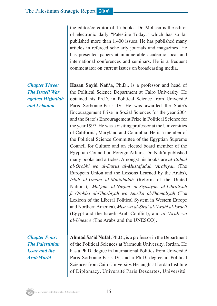the editor/co-editor of 15 books. Dr. Mohsen is the editor of electronic daily "Palestine Today," which has so far published more than 1,400 issues. He has published many articles in refereed scholarly journals and magazines. He has presented papers at innumerable academic local and international conferences and seminars. He is a frequent commentator on current issues on broadcasting media.

**Hasan Sayid Nafi'a,** Ph.D., is a professor and head of the Political Science Department at Cairo University. He obtained his Ph.D. in Political Science from Université Paris Sorbonne-Paris IV. He was awarded the State's Encouragement Prize in Social Sciences for the year 2004 and the State's Encouragement Prize in Political Science for the year 1997. He was a visiting professor at the Universities of California, Maryland and Columbia. He is a member of the Political Science Committee of the Egyptian Supreme Council for Culture and an elected board member of the Egyptian Council on Foreign Affairs. Dr. Nafi*'*a published many books and articles. Amongst his books are *al-Ittihad al-Orobbi wa al-Durus al-Mustafadah 'Arabiyan* (The European Union and the Lessons Learned by the Arabs)*, Islah al-Umam al-Muttahidah* (Reform of the United Nations)*, Mu'jam al-Nuzum al-Siyasiyah al-Libraliyah fi Orobba al-Gharbiyah wa Amrika al-Shamaliyah* (The Lexicon of the Liberal Political System in Western Europe and Northern America), *Misr wa al-Sira' al-'Arabi al-Israeli*  (Egypt and the Israeli-Arab Conflict)*,* and *al-'Arab wa al-Unesco* (The Arabs and the UNESCO)*.*

*Chapter Four: The Palestinian Issue and the Arab World*

**Ahmad Sa'id Nufal,** Ph.D., is a professor in the Department of the Political Sciences at Yarmouk University, Jordan. He has a Ph.D. degree in International Politics from Université Paris Sorbonne-Paris IV, and a Ph.D. degree in Political Sciences from Cairo University. He taught at Jordan Institute of Diplomacy, Université Paris Descartes, Université

*Chapter Three: The Israeli War against Hizbullah and Lebanon*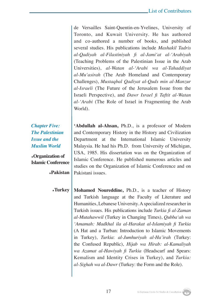de Versailles Saint-Quentin-en-Yvelines, University of Toronto, and Kuwait University. He has authored and co-authored a number of books, and published several studies. His publications include *Mashakil Tadris al-Qadiyah al-Filastiniyah fi al-Jami'at al-'Arabiyah*  (Teaching Problems of the Palestinian Issue in the Arab Universities), *al-Watan al-'Arabi wa al-Tahaddiyat al-Mu'asirah* (The Arab Homeland and Contemporary Challenges), *Mustaqbal Qadiyat al-Quds min al-Manzur al-Israeli* (The Future of the Jerusalem Issue from the Israeli Perspective), and *Dawr Israel fi Taftit al-Watan al-'Arabi* (The Role of Israel in Fragmenting the Arab World).

*Chapter Five: The Palestinian Issue and the Muslim World*

**٭Organization of Islamic Conference**

**Pakistan٭**

**'Abdullah al-Ahsan,** Ph.D., is a professor of Modern and Contemporary History in the History and Civilization Department at the International Islamic University Malaysia. He had his Ph.D. from University of Michigan, USA, 1985. His dissertation was on the Organization of Islamic Conference. He published numerous articles and studies on the Organization of Islamic Conference and on Pakistani issues.

**٭Turkey Mohamed Noureddine,** Ph.D., is a teacher of History and Turkish language at the Faculty of Literature and Humanities, Lebanese University. A specialized researcher in Turkish issues. His publications include *Turkia fi al-Zaman al-Mutahawwil* (Turkey in Changing Times), *Qubba'ah wa 'Amamah: Madkhal ila al-Harakat al-Islamiyah fi Turkia*  (A Hat and a Turban: Introduction to Islamic Movements in Turkey), *Turkia*: *al-Jumhuriyah al-Ha'irah* (Turkey: the Confused Republic), *Hijab wa Hirab: al-Kamaliyah wa Azamat al-Hawiyah fi Turkia* (Headscarf and Spears: Kemalism and Identity Crises in Turkey), and *Turkia: al-Sighah wa al-Dawr* (Turkey: the Form and the Role).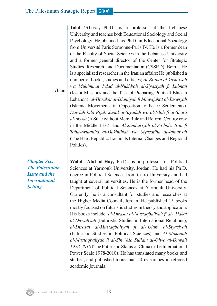**Iran٭ Talal 'Atrissi,** Ph.D., is a professor at the Lebanese University and teaches both Educational Sociology and Social Psychology. He obtained his Ph.D. in Educational Sociology from Université Paris Sorbonne-Paris IV. He is a former dean of the Faculty of Social Sciences in the Lebanese University and a former general director of the Center for Strategic Studies, Research, and Documentation (CSSRD), Beirut. He is a specialized researcher in the Iranian affairs; He published a number of books, studies and articles; *Al-Bi'that al-Yasu'iyah wa Muhimmat I'dad al-Nukhbah al-Siyasiyah fi Lubnan*  (Jesuit Missions and the Task of Preparing Political Elite in Lebanon), *al-Harakat al-Islamiyah fi Muwajahat al-Taswiyah*  (Islamic Movements in Opposition to Peace Settlements), *Dawlah bila Rijal: Jadal al-Siyadah wa al-Islah fi al-Sharq al-Awsat* (A State without Men: Rule and Reform Controversy in the Middle East), and *Al-Jumhuriyah al-Sa'bah: Iran fi Tahawwulatiha al-Dakhiliyah wa Siyasatiha al-Iqlimiyah* (The Hard Republic: Iran in its Internal Changes and Regional Politics).

*Chapter Six: The Palestinian Issue and the International Setting*

**Walid 'Abd al-Hay,** Ph.D., is a professor of Political Sciences at Yarmouk University, Jordan. He had his Ph.D. degree in Political Sciences from Cairo University and had taught at several universities. He is the former head of the Department of Political Sciences at Yarmouk University. Currently, he is a consultant for studies and researches at the Higher Media Council, Jordan. He published 15 books mostly focused on futuristic studies in theory and application. His books include: *al-Dirasat al-Mustaqbaliyah fi al-'Alakat al-Duwaliyah* (Futuristic Studies in International Relations), *al-Dirasat al-Mustaqbaliyah fi al-'Ulum al-Siyasiyah* (Futuristic Studies in Political Sciences) and *Al-Makanah al-Mustaqbaliyah li al-Sin 'Ala Sullam al-Qiwa al-Duwali 1978-2010* (The Futuristic Status of China in the International Power Scale 1978-2010). He has translated many books and studies, and published more than 50 researches in refereed academic journals.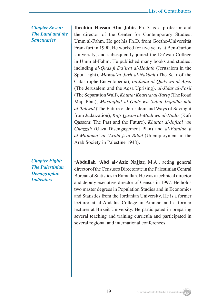*Chapter Seven: The Land and the Sanctuaries*

*Chapter Eight: The Palestinian Demographic Indicators*

**Ibrahim Hassan Abu Jabir,** Ph.D. is a professor and the director of the Center for Contemporary Studies, Umm al-Fahm. He got his Ph.D. from Goethe-Universität Frankfurt in 1990. He worked for five years at Ben-Gurion University, and subsequently joined the Da'wah College in Umm al-Fahm. He published many books and studies, including *al-Quds fi Da'irat al-Hadath* (Jerusalem in the Spot Light)*, Mawsu'at Jurh al-Nakbah* (The Scar of the Catastrophe Encyclopedia)*, Intifadat al-Quds wa al-Aqsa*  (The Jerusalem and the Aqsa Uprising)*, al-Jidar al-Fasil*  (The Separation Wall)*, Khuttat Kharitat al-Tariq* (The Road Map Plan)*, Mustaqbal al-Quds wa Subul Inqadha min al-Tahwid* (The Future of Jerusalem and Ways of Saving it from Judaization)*, Kafr Qasim al-Madi wa al-Hadir* (Kafr Qassem: The Past and the Future)*, Khuttat al-Infisal 'an Ghazzah* (Gaza Disengagement Plan) and *al-Batalah fi al-Mujtama' al-'Arabi fi al-Bilad* (Unemployment in the Arab Society in Palestine 1948)*.*

**'Abdullah 'Abd al-'Aziz Najjar,** M.A., acting general directorof the Censuses Directorate in the Palestinian Central Bureau of Statistics in Ramallah. He was a technical director and deputy executive director of Census in 1997. He holds two master degrees in Population Studies and in Economics and Statistics from the Jordanian University. He is a former lecturer at al-Andalus College in Amman and a former lecturer at Birzeit University. He participated in preparing several teaching and training curricula and participated in several regional and international conferences.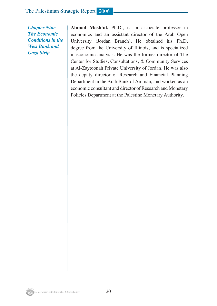*Chapter Nine The Economic Conditions in the West Bank and Gaza Strip*

**Ahmad Mash'al,** Ph.D., is an associate professor in economics and an assistant director of the Arab Open University (Jordan Branch). He obtained his Ph.D. degree from the University of Illinois, and is specialized in economic analysis. He was the former director of The Center for Studies, Consultations, & Community Services at Al-Zaytoonah Private University of Jordan. He was also the deputy director of Research and Financial Planning Department in the Arab Bank of Amman; and worked as an economic consultant and director of Research and Monetary Policies Department at the Palestine Monetary Authority.

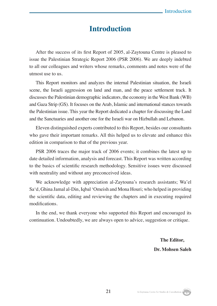## **Introduction**

After the success of its first Report of 2005, al-Zaytouna Centre is pleased to issue the Palestinian Strategic Report 2006 (PSR 2006). We are deeply indebted to all our colleagues and writers whose remarks, comments and notes were of the utmost use to us.

This Report monitors and analyzes the internal Palestinian situation, the Israeli scene, the Israeli aggression on land and man, and the peace settlement track. It discusses the Palestinian demographic indicators, the economy in the West Bank (WB) and Gaza Strip (GS). It focuses on the Arab, Islamic and international stances towards the Palestinian issue. This year the Report dedicated a chapter for discussing the Land and the Sanctuaries and another one for the Israeli war on Hizbullah and Lebanon.

Eleven distinguished experts contributed to this Report, besides our consultants who gave their important remarks. All this helped us to elevate and enhance this edition in comparison to that of the previous year.

PSR 2006 traces the major track of 2006 events; it combines the latest up to date detailed information, analysis and forecast. This Report was written according to the basics of scientific research methodology. Sensitive issues were discussed with neutrality and without any preconceived ideas.

We acknowledge with appreciation al-Zaytouna's research assistants; Wa'el Sa'd, Ghina Jamal al-Din, Iqbal 'Omeish and Mona Houri; who helped in providing the scientific data, editing and reviewing the chapters and in executing required modifications.

In the end, we thank everyone who supported this Report and encouraged its continuation. Undoubtedly, we are always open to advice, suggestion or critique.

21

 **The Editor, Dr. Mohsen Saleh**